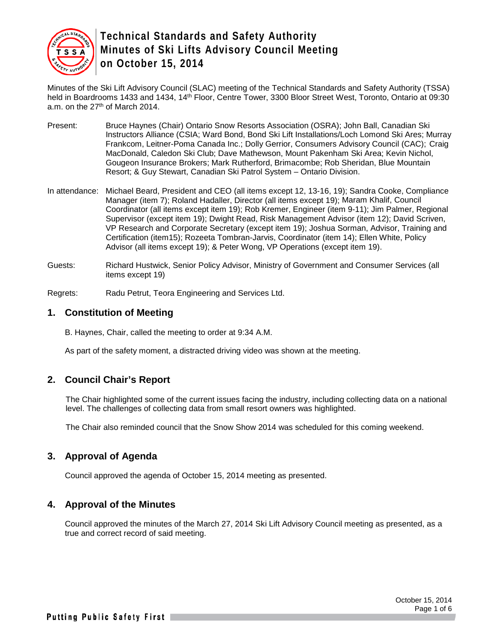

Minutes of the Ski Lift Advisory Council (SLAC) meeting of the Technical Standards and Safety Authority (TSSA) held in Boardrooms 1433 and 1434, 14th Floor, Centre Tower, 3300 Bloor Street West, Toronto, Ontario at 09:30 a.m. on the 27<sup>th</sup> of March 2014.

- Present: Bruce Haynes (Chair) Ontario Snow Resorts Association (OSRA); John Ball, Canadian Ski Instructors Alliance (CSIA; Ward Bond, Bond Ski Lift Installations/Loch Lomond Ski Ares; Murray Frankcom, Leitner-Poma Canada Inc.; Dolly Gerrior, Consumers Advisory Council (CAC); Craig MacDonald, Caledon Ski Club; Dave Mathewson, Mount Pakenham Ski Area; Kevin Nichol, Gougeon Insurance Brokers; Mark Rutherford, Brimacombe; Rob Sheridan, Blue Mountain Resort; & Guy Stewart, Canadian Ski Patrol System – Ontario Division.
- In attendance: Michael Beard, President and CEO (all items except 12, 13-16, 19); Sandra Cooke, Compliance Manager (item 7); Roland Hadaller, Director (all items except 19); Maram Khalif, Council Coordinator (all items except item 19); Rob Kremer, Engineer (item 9-11); Jim Palmer, Regional Supervisor (except item 19); Dwight Read, Risk Management Advisor (item 12); David Scriven, VP Research and Corporate Secretary (except item 19); Joshua Sorman, Advisor, Training and Certification (item15); Rozeeta Tombran-Jarvis, Coordinator (item 14); Ellen White, Policy Advisor (all items except 19); & Peter Wong, VP Operations (except item 19).
- Guests: Richard Hustwick, Senior Policy Advisor, Ministry of Government and Consumer Services (all items except 19)

Regrets: Radu Petrut, Teora Engineering and Services Ltd.

#### **1. Constitution of Meeting**

B. Haynes, Chair, called the meeting to order at 9:34 A.M.

As part of the safety moment, a distracted driving video was shown at the meeting.

#### **2. Council Chair's Report**

The Chair highlighted some of the current issues facing the industry, including collecting data on a national level. The challenges of collecting data from small resort owners was highlighted.

The Chair also reminded council that the Snow Show 2014 was scheduled for this coming weekend.

#### **3. Approval of Agenda**

Council approved the agenda of October 15, 2014 meeting as presented.

#### **4. Approval of the Minutes**

Council approved the minutes of the March 27, 2014 Ski Lift Advisory Council meeting as presented, as a true and correct record of said meeting.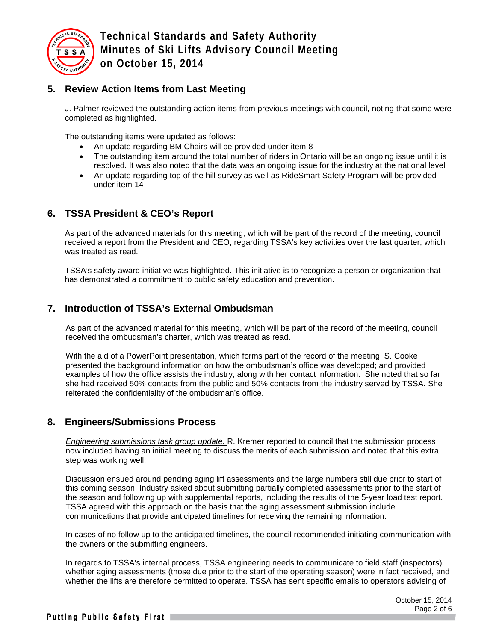

### **5. Review Action Items from Last Meeting**

J. Palmer reviewed the outstanding action items from previous meetings with council, noting that some were completed as highlighted.

The outstanding items were updated as follows:

- An update regarding BM Chairs will be provided under item 8
- The outstanding item around the total number of riders in Ontario will be an ongoing issue until it is resolved. It was also noted that the data was an ongoing issue for the industry at the national level
- An update regarding top of the hill survey as well as RideSmart Safety Program will be provided under item 14

## **6. TSSA President & CEO's Report**

As part of the advanced materials for this meeting, which will be part of the record of the meeting, council received a report from the President and CEO, regarding TSSA's key activities over the last quarter, which was treated as read.

TSSA's safety award initiative was highlighted. This initiative is to recognize a person or organization that has demonstrated a commitment to public safety education and prevention.

### **7. Introduction of TSSA's External Ombudsman**

As part of the advanced material for this meeting, which will be part of the record of the meeting, council received the ombudsman's charter, which was treated as read.

With the aid of a PowerPoint presentation, which forms part of the record of the meeting, S. Cooke presented the background information on how the ombudsman's office was developed; and provided examples of how the office assists the industry; along with her contact information. She noted that so far she had received 50% contacts from the public and 50% contacts from the industry served by TSSA. She reiterated the confidentiality of the ombudsman's office.

#### **8. Engineers/Submissions Process**

*Engineering submissions task group update:* R. Kremer reported to council that the submission process now included having an initial meeting to discuss the merits of each submission and noted that this extra step was working well.

Discussion ensued around pending aging lift assessments and the large numbers still due prior to start of this coming season. Industry asked about submitting partially completed assessments prior to the start of the season and following up with supplemental reports, including the results of the 5-year load test report. TSSA agreed with this approach on the basis that the aging assessment submission include communications that provide anticipated timelines for receiving the remaining information.

In cases of no follow up to the anticipated timelines, the council recommended initiating communication with the owners or the submitting engineers.

In regards to TSSA's internal process, TSSA engineering needs to communicate to field staff (inspectors) whether aging assessments (those due prior to the start of the operating season) were in fact received, and whether the lifts are therefore permitted to operate. TSSA has sent specific emails to operators advising of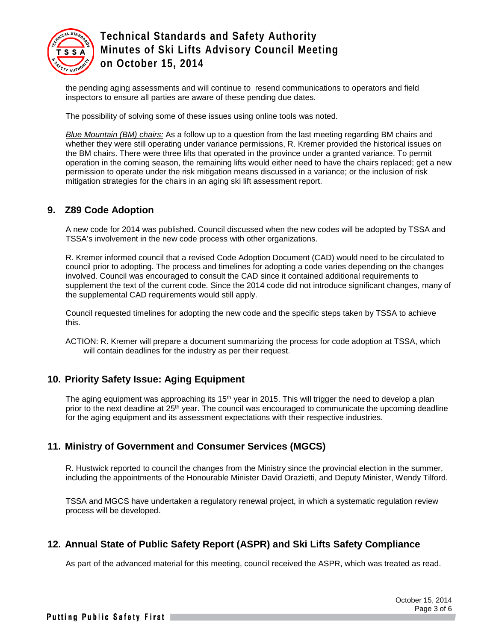

the pending aging assessments and will continue to resend communications to operators and field inspectors to ensure all parties are aware of these pending due dates.

The possibility of solving some of these issues using online tools was noted.

*Blue Mountain (BM) chairs:* As a follow up to a question from the last meeting regarding BM chairs and whether they were still operating under variance permissions, R. Kremer provided the historical issues on the BM chairs. There were three lifts that operated in the province under a granted variance. To permit operation in the coming season, the remaining lifts would either need to have the chairs replaced; get a new permission to operate under the risk mitigation means discussed in a variance; or the inclusion of risk mitigation strategies for the chairs in an aging ski lift assessment report.

#### **9. Z89 Code Adoption**

A new code for 2014 was published. Council discussed when the new codes will be adopted by TSSA and TSSA's involvement in the new code process with other organizations.

R. Kremer informed council that a revised Code Adoption Document (CAD) would need to be circulated to council prior to adopting. The process and timelines for adopting a code varies depending on the changes involved. Council was encouraged to consult the CAD since it contained additional requirements to supplement the text of the current code. Since the 2014 code did not introduce significant changes, many of the supplemental CAD requirements would still apply.

Council requested timelines for adopting the new code and the specific steps taken by TSSA to achieve this.

ACTION: R. Kremer will prepare a document summarizing the process for code adoption at TSSA, which will contain deadlines for the industry as per their request.

### **10. Priority Safety Issue: Aging Equipment**

The aging equipment was approaching its 15<sup>th</sup> year in 2015. This will trigger the need to develop a plan prior to the next deadline at 25<sup>th</sup> year. The council was encouraged to communicate the upcoming deadline for the aging equipment and its assessment expectations with their respective industries.

### **11. Ministry of Government and Consumer Services (MGCS)**

R. Hustwick reported to council the changes from the Ministry since the provincial election in the summer, including the appointments of the Honourable Minister David Orazietti, and Deputy Minister, Wendy Tilford.

TSSA and MGCS have undertaken a regulatory renewal project, in which a systematic regulation review process will be developed.

### **12. Annual State of Public Safety Report (ASPR) and Ski Lifts Safety Compliance**

As part of the advanced material for this meeting, council received the ASPR, which was treated as read.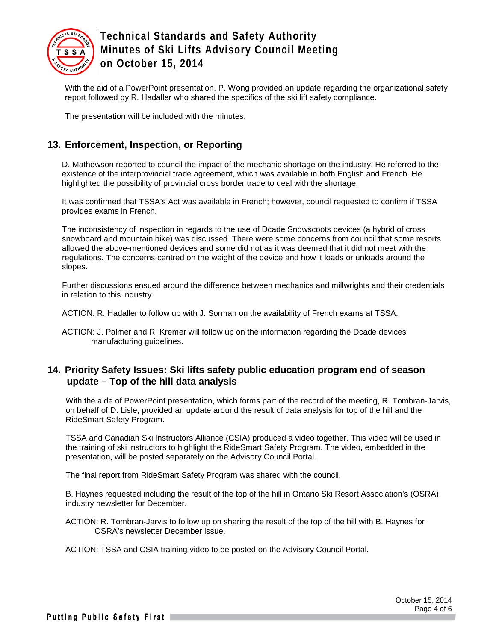

With the aid of a PowerPoint presentation, P. Wong provided an update regarding the organizational safety report followed by R. Hadaller who shared the specifics of the ski lift safety compliance.

The presentation will be included with the minutes.

### **13. Enforcement, Inspection, or Reporting**

D. Mathewson reported to council the impact of the mechanic shortage on the industry. He referred to the existence of the interprovincial trade agreement, which was available in both English and French. He highlighted the possibility of provincial cross border trade to deal with the shortage.

It was confirmed that TSSA's Act was available in French; however, council requested to confirm if TSSA provides exams in French.

The inconsistency of inspection in regards to the use of Dcade Snowscoots devices (a hybrid of cross snowboard and mountain bike) was discussed. There were some concerns from council that some resorts allowed the above-mentioned devices and some did not as it was deemed that it did not meet with the regulations. The concerns centred on the weight of the device and how it loads or unloads around the slopes.

Further discussions ensued around the difference between mechanics and millwrights and their credentials in relation to this industry.

ACTION: R. Hadaller to follow up with J. Sorman on the availability of French exams at TSSA.

ACTION: J. Palmer and R. Kremer will follow up on the information regarding the Dcade devices manufacturing guidelines.

#### **14. Priority Safety Issues: Ski lifts safety public education program end of season update – Top of the hill data analysis**

With the aide of PowerPoint presentation, which forms part of the record of the meeting, R. Tombran-Jarvis, on behalf of D. Lisle, provided an update around the result of data analysis for top of the hill and the RideSmart Safety Program.

TSSA and Canadian Ski Instructors Alliance (CSIA) produced a video together. This video will be used in the training of ski instructors to highlight the RideSmart Safety Program. The video, embedded in the presentation, will be posted separately on the Advisory Council Portal.

The final report from RideSmart Safety Program was shared with the council.

B. Haynes requested including the result of the top of the hill in Ontario Ski Resort Association's (OSRA) industry newsletter for December.

ACTION: R. Tombran-Jarvis to follow up on sharing the result of the top of the hill with B. Haynes for OSRA's newsletter December issue.

ACTION: TSSA and CSIA training video to be posted on the Advisory Council Portal.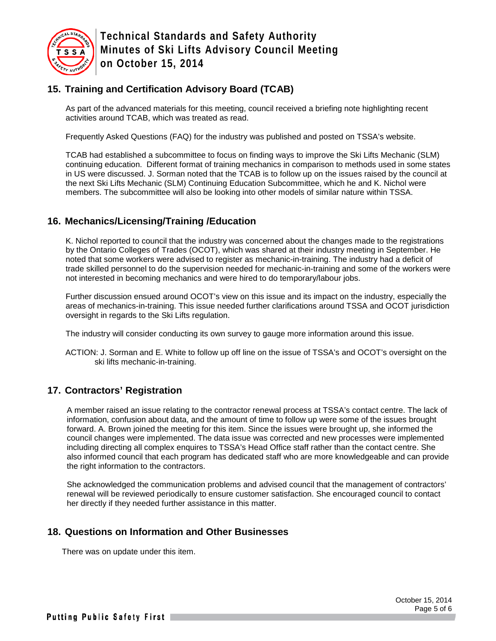

# **15. Training and Certification Advisory Board (TCAB)**

As part of the advanced materials for this meeting, council received a briefing note highlighting recent activities around TCAB, which was treated as read.

Frequently Asked Questions (FAQ) for the industry was published and posted on TSSA's website.

TCAB had established a subcommittee to focus on finding ways to improve the Ski Lifts Mechanic (SLM) continuing education. Different format of training mechanics in comparison to methods used in some states in US were discussed. J. Sorman noted that the TCAB is to follow up on the issues raised by the council at the next Ski Lifts Mechanic (SLM) Continuing Education Subcommittee, which he and K. Nichol were members. The subcommittee will also be looking into other models of similar nature within TSSA.

### **16. Mechanics/Licensing/Training /Education**

K. Nichol reported to council that the industry was concerned about the changes made to the registrations by the Ontario Colleges of Trades (OCOT), which was shared at their industry meeting in September. He noted that some workers were advised to register as mechanic-in-training. The industry had a deficit of trade skilled personnel to do the supervision needed for mechanic-in-training and some of the workers were not interested in becoming mechanics and were hired to do temporary/labour jobs.

Further discussion ensued around OCOT's view on this issue and its impact on the industry, especially the areas of mechanics-in-training. This issue needed further clarifications around TSSA and OCOT jurisdiction oversight in regards to the Ski Lifts regulation.

The industry will consider conducting its own survey to gauge more information around this issue.

ACTION: J. Sorman and E. White to follow up off line on the issue of TSSA's and OCOT's oversight on the ski lifts mechanic-in-training.

### **17. Contractors' Registration**

A member raised an issue relating to the contractor renewal process at TSSA's contact centre. The lack of information, confusion about data, and the amount of time to follow up were some of the issues brought forward. A. Brown joined the meeting for this item. Since the issues were brought up, she informed the council changes were implemented. The data issue was corrected and new processes were implemented including directing all complex enquires to TSSA's Head Office staff rather than the contact centre. She also informed council that each program has dedicated staff who are more knowledgeable and can provide the right information to the contractors.

She acknowledged the communication problems and advised council that the management of contractors' renewal will be reviewed periodically to ensure customer satisfaction. She encouraged council to contact her directly if they needed further assistance in this matter.

### **18. Questions on Information and Other Businesses**

There was on update under this item.